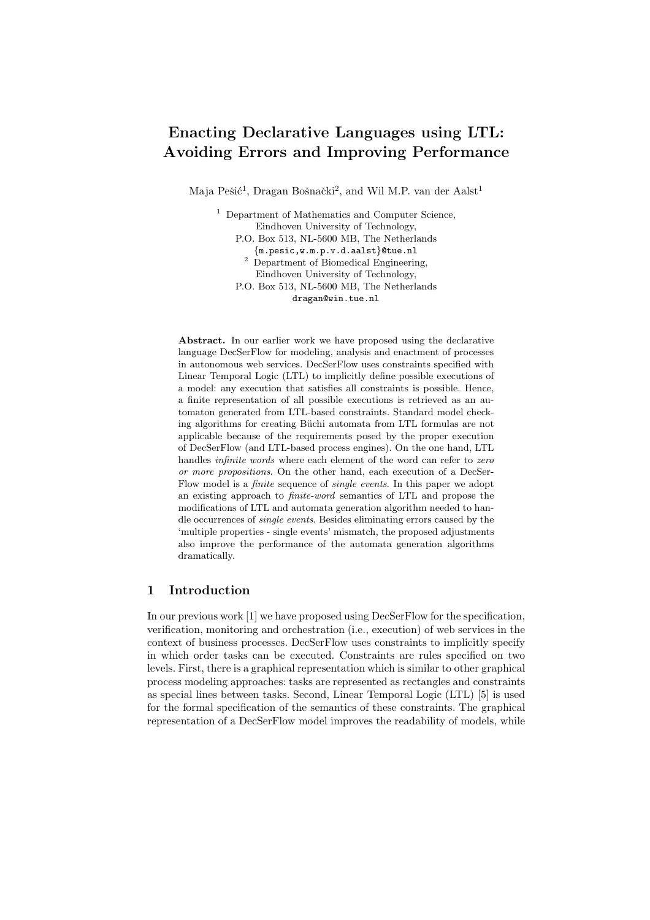# Enacting Declarative Languages using LTL: Avoiding Errors and Improving Performance

Maja Pešić<sup>1</sup>, Dragan Bošnački<sup>2</sup>, and Wil M.P. van der Aalst<sup>1</sup>

<sup>1</sup> Department of Mathematics and Computer Science, Eindhoven University of Technology, P.O. Box 513, NL-5600 MB, The Netherlands {m.pesic,w.m.p.v.d.aalst}@tue.nl <sup>2</sup> Department of Biomedical Engineering, Eindhoven University of Technology, P.O. Box 513, NL-5600 MB, The Netherlands dragan@win.tue.nl

Abstract. In our earlier work we have proposed using the declarative language DecSerFlow for modeling, analysis and enactment of processes in autonomous web services. DecSerFlow uses constraints specified with Linear Temporal Logic (LTL) to implicitly define possible executions of a model: any execution that satisfies all constraints is possible. Hence, a finite representation of all possible executions is retrieved as an automaton generated from LTL-based constraints. Standard model checking algorithms for creating Büchi automata from LTL formulas are not applicable because of the requirements posed by the proper execution of DecSerFlow (and LTL-based process engines). On the one hand, LTL handles infinite words where each element of the word can refer to zero or more propositions. On the other hand, each execution of a DecSer-Flow model is a finite sequence of single events. In this paper we adopt an existing approach to finite-word semantics of LTL and propose the modifications of LTL and automata generation algorithm needed to handle occurrences of single events. Besides eliminating errors caused by the 'multiple properties - single events' mismatch, the proposed adjustments also improve the performance of the automata generation algorithms dramatically.

## 1 Introduction

In our previous work [1] we have proposed using DecSerFlow for the specification, verification, monitoring and orchestration (i.e., execution) of web services in the context of business processes. DecSerFlow uses constraints to implicitly specify in which order tasks can be executed. Constraints are rules specified on two levels. First, there is a graphical representation which is similar to other graphical process modeling approaches: tasks are represented as rectangles and constraints as special lines between tasks. Second, Linear Temporal Logic (LTL) [5] is used for the formal specification of the semantics of these constraints. The graphical representation of a DecSerFlow model improves the readability of models, while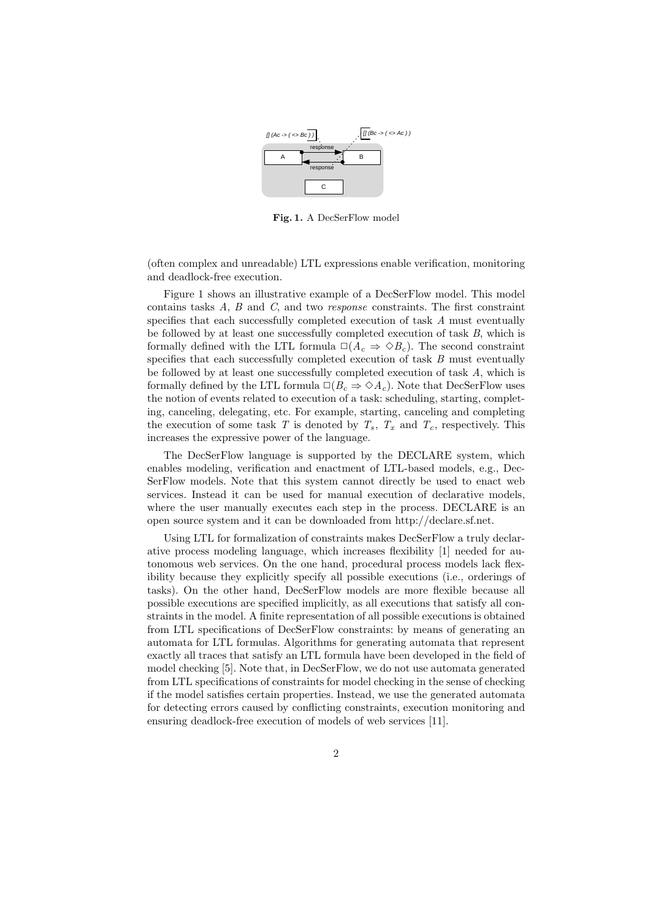

Fig. 1. A DecSerFlow model

(often complex and unreadable) LTL expressions enable verification, monitoring and deadlock-free execution.

Figure 1 shows an illustrative example of a DecSerFlow model. This model contains tasks  $A, B$  and  $C$ , and two *response* constraints. The first constraint specifies that each successfully completed execution of task A must eventually be followed by at least one successfully completed execution of task  $B$ , which is formally defined with the LTL formula  $\square(A_c \Rightarrow \lozenge B_c)$ . The second constraint specifies that each successfully completed execution of task  $B$  must eventually be followed by at least one successfully completed execution of task A, which is formally defined by the LTL formula  $\square(B_c \Rightarrow \lozenge A_c)$ . Note that DecSerFlow uses the notion of events related to execution of a task: scheduling, starting, completing, canceling, delegating, etc. For example, starting, canceling and completing the execution of some task T is denoted by  $T_s$ ,  $T_x$  and  $T_c$ , respectively. This increases the expressive power of the language.

The DecSerFlow language is supported by the DECLARE system, which enables modeling, verification and enactment of LTL-based models, e.g., Dec-SerFlow models. Note that this system cannot directly be used to enact web services. Instead it can be used for manual execution of declarative models, where the user manually executes each step in the process. DECLARE is an open source system and it can be downloaded from http://declare.sf.net.

Using LTL for formalization of constraints makes DecSerFlow a truly declarative process modeling language, which increases flexibility [1] needed for autonomous web services. On the one hand, procedural process models lack flexibility because they explicitly specify all possible executions (i.e., orderings of tasks). On the other hand, DecSerFlow models are more flexible because all possible executions are specified implicitly, as all executions that satisfy all constraints in the model. A finite representation of all possible executions is obtained from LTL specifications of DecSerFlow constraints: by means of generating an automata for LTL formulas. Algorithms for generating automata that represent exactly all traces that satisfy an LTL formula have been developed in the field of model checking [5]. Note that, in DecSerFlow, we do not use automata generated from LTL specifications of constraints for model checking in the sense of checking if the model satisfies certain properties. Instead, we use the generated automata for detecting errors caused by conflicting constraints, execution monitoring and ensuring deadlock-free execution of models of web services [11].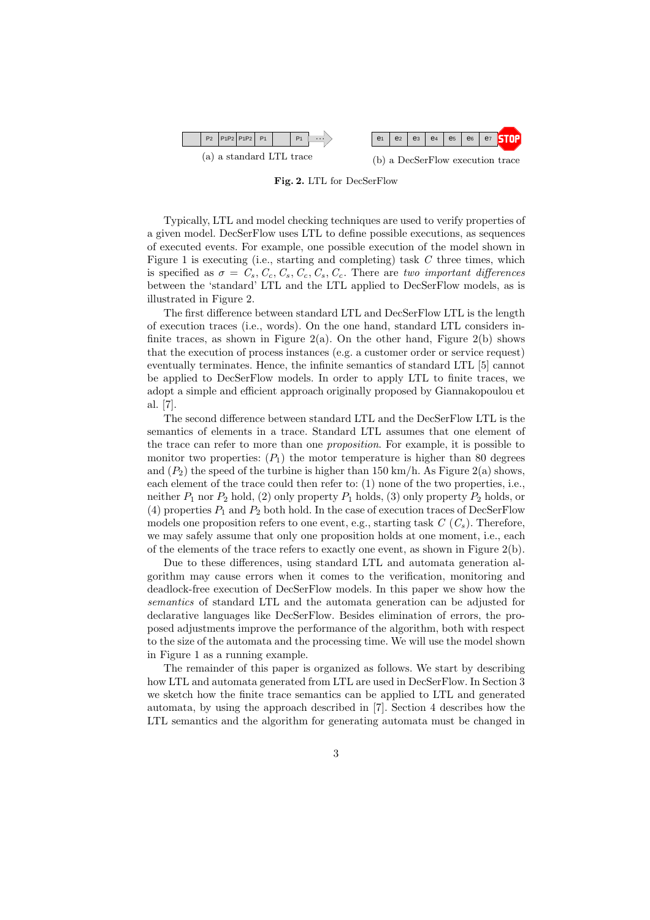

Fig. 2. LTL for DecSerFlow

Typically, LTL and model checking techniques are used to verify properties of a given model. DecSerFlow uses LTL to define possible executions, as sequences of executed events. For example, one possible execution of the model shown in Figure 1 is executing (i.e., starting and completing) task  $C$  three times, which is specified as  $\sigma = C_s, C_c, C_s, C_c, C_s, C_c$ . There are two important differences between the 'standard' LTL and the LTL applied to DecSerFlow models, as is illustrated in Figure 2.

The first difference between standard LTL and DecSerFlow LTL is the length of execution traces (i.e., words). On the one hand, standard LTL considers infinite traces, as shown in Figure 2(a). On the other hand, Figure 2(b) shows that the execution of process instances (e.g. a customer order or service request) eventually terminates. Hence, the infinite semantics of standard LTL [5] cannot be applied to DecSerFlow models. In order to apply LTL to finite traces, we adopt a simple and efficient approach originally proposed by Giannakopoulou et al. [7].

The second difference between standard LTL and the DecSerFlow LTL is the semantics of elements in a trace. Standard LTL assumes that one element of the trace can refer to more than one proposition. For example, it is possible to monitor two properties:  $(P_1)$  the motor temperature is higher than 80 degrees and  $(P_2)$  the speed of the turbine is higher than 150 km/h. As Figure 2(a) shows, each element of the trace could then refer to: (1) none of the two properties, i.e., neither  $P_1$  nor  $P_2$  hold, (2) only property  $P_1$  holds, (3) only property  $P_2$  holds, or (4) properties  $P_1$  and  $P_2$  both hold. In the case of execution traces of DecSerFlow models one proposition refers to one event, e.g., starting task  $C(C_s)$ . Therefore, we may safely assume that only one proposition holds at one moment, i.e., each of the elements of the trace refers to exactly one event, as shown in Figure 2(b).

Due to these differences, using standard LTL and automata generation algorithm may cause errors when it comes to the verification, monitoring and deadlock-free execution of DecSerFlow models. In this paper we show how the semantics of standard LTL and the automata generation can be adjusted for declarative languages like DecSerFlow. Besides elimination of errors, the proposed adjustments improve the performance of the algorithm, both with respect to the size of the automata and the processing time. We will use the model shown in Figure 1 as a running example.

The remainder of this paper is organized as follows. We start by describing how LTL and automata generated from LTL are used in DecSerFlow. In Section 3 we sketch how the finite trace semantics can be applied to LTL and generated automata, by using the approach described in [7]. Section 4 describes how the LTL semantics and the algorithm for generating automata must be changed in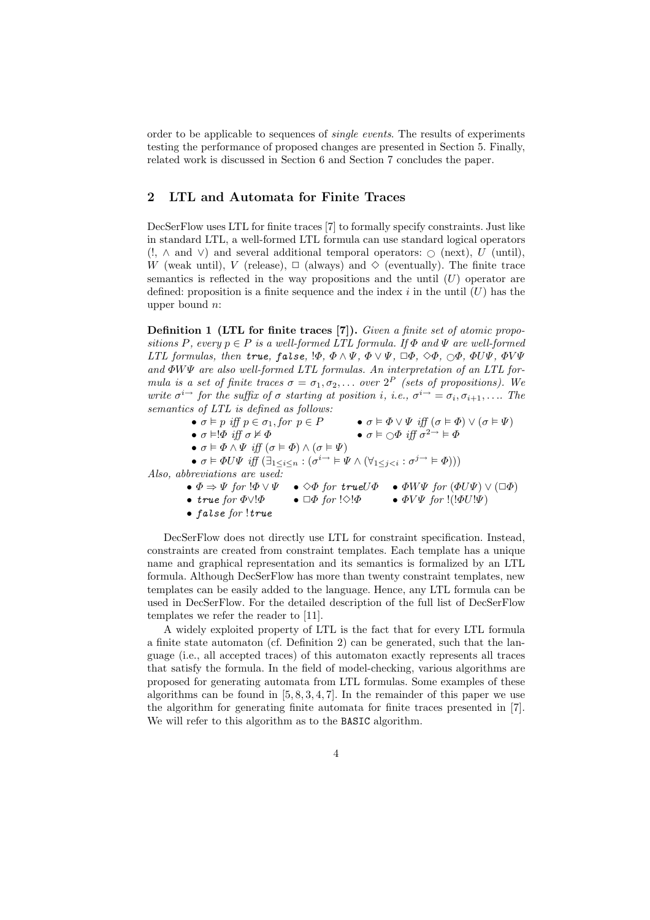order to be applicable to sequences of single events. The results of experiments testing the performance of proposed changes are presented in Section 5. Finally, related work is discussed in Section 6 and Section 7 concludes the paper.

# 2 LTL and Automata for Finite Traces

DecSerFlow uses LTL for finite traces [7] to formally specify constraints. Just like in standard LTL, a well-formed LTL formula can use standard logical operators  $(!, \wedge \text{ and } \vee)$  and several additional temporal operators:  $\circ$  (next), U (until), W (weak until), V (release),  $\Box$  (always) and  $\diamond$  (eventually). The finite trace semantics is reflected in the way propositions and the until  $(U)$  operator are defined: proposition is a finite sequence and the index  $i$  in the until  $(U)$  has the upper bound n:

Definition 1 (LTL for finite traces [7]). Given a finite set of atomic propositions P, every  $p \in P$  is a well-formed LTL formula. If  $\Phi$  and  $\Psi$  are well-formed LTL formulas, then true, false,  $\phi, \Phi \wedge \Psi, \Phi \vee \Psi, \Box \Phi, \Diamond \Phi, \Box \Phi, \Phi \vee \Psi, \Phi \vee \Psi$ and  $\Phi W \Psi$  are also well-formed LTL formulas. An interpretation of an LTL formula is a set of finite traces  $\sigma = \sigma_1, \sigma_2, \ldots$  over  $2^P$  (sets of propositions). We write  $\sigma^{i\rightarrow}$  for the suffix of  $\sigma$  starting at position i, i.e.,  $\sigma^{i\rightarrow} = \sigma_i, \sigma_{i+1}, \ldots$  The semantics of LTL is defined as follows:

•  $\sigma \models p$  iff  $p \in \sigma_1$ , for  $p \in P$  •  $\sigma \models \Phi \lor \Psi$  iff  $(\sigma \models \Phi) \lor (\sigma \models \Psi)$ •  $\sigma \vDash !\Phi$  iff  $\sigma \nvDash \Phi$  •  $\sigma \vDash \bigcirc \Phi$  iff  $\sigma^{2\rightarrow} \vDash \Phi$ •  $\sigma \models \Phi \land \Psi \text{ iff } (\sigma \models \Phi) \land (\sigma \models \Psi)$ •  $\sigma \models \Phi U \Psi \text{ iff } (\exists_{1 \leq i \leq n} : (\sigma^{i \rightarrow} \models \Psi \land (\forall_{1 \leq j < i} : \sigma^{j \rightarrow} \models \Phi)))$ Also, abbreviations are used: •  $\Phi \Rightarrow \Psi$  for  $\Phi \lor \Psi$  •  $\Diamond \Phi$  for true  $\mathcal{U}\Phi$  •  $\Phi W\Psi$  for  $(\Phi U\Psi) \lor (\Box \Phi)$ • true for  $\Phi \vee \Phi$  •  $\Box \Phi$  for  $\Diamond \Phi$  •  $\Phi V \Psi$  for  $\Box (\Phi U \Psi)$ 

• false for !true

DecSerFlow does not directly use LTL for constraint specification. Instead, constraints are created from constraint templates. Each template has a unique name and graphical representation and its semantics is formalized by an LTL formula. Although DecSerFlow has more than twenty constraint templates, new templates can be easily added to the language. Hence, any LTL formula can be used in DecSerFlow. For the detailed description of the full list of DecSerFlow templates we refer the reader to [11].

A widely exploited property of LTL is the fact that for every LTL formula a finite state automaton (cf. Definition 2) can be generated, such that the language (i.e., all accepted traces) of this automaton exactly represents all traces that satisfy the formula. In the field of model-checking, various algorithms are proposed for generating automata from LTL formulas. Some examples of these algorithms can be found in  $[5, 8, 3, 4, 7]$ . In the remainder of this paper we use the algorithm for generating finite automata for finite traces presented in [7]. We will refer to this algorithm as to the **BASIC** algorithm.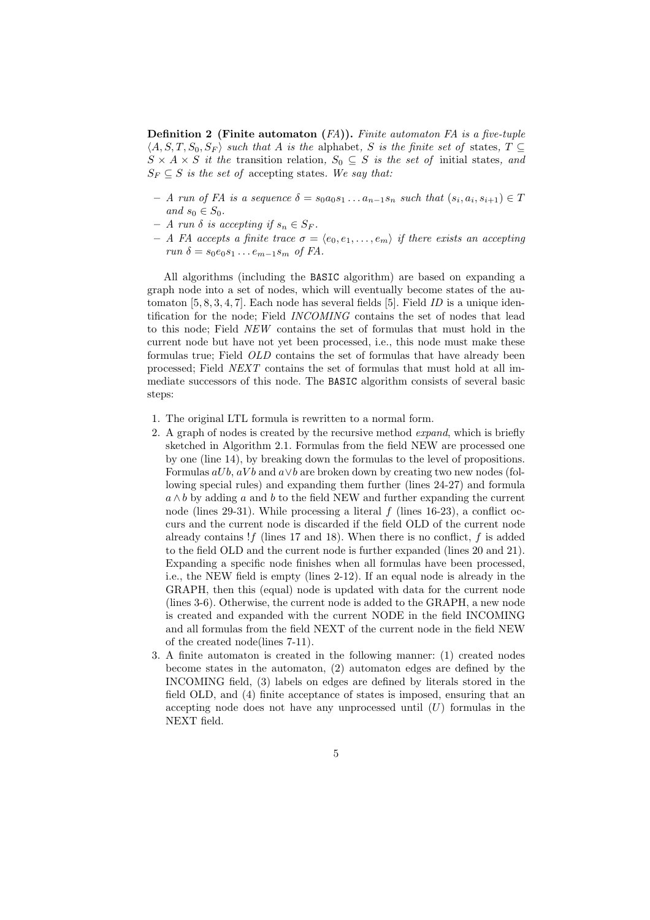**Definition 2** (Finite automaton  $(FA)$ ). Finite automaton FA is a five-tuple  $\langle A, S, T, S_0, S_F \rangle$  such that A is the alphabet, S is the finite set of states,  $T \subseteq$  $S \times A \times S$  it the transition relation,  $S_0 \subseteq S$  is the set of initial states, and  $S_F \subseteq S$  is the set of accepting states. We say that:

- $-$  A run of FA is a sequence  $\delta = s_0 a_0 s_1 \dots a_{n-1} s_n$  such that  $(s_i, a_i, s_{i+1}) \in T$ and  $s_0 \in S_0$ .
- $A$  run  $\delta$  is accepting if  $s_n \in S_F$ .
- A FA accepts a finite trace  $\sigma = \langle e_0, e_1, \ldots, e_m \rangle$  if there exists an accepting run  $\delta = s_0 e_0 s_1 \dots e_{m-1} s_m$  of FA.

All algorithms (including the BASIC algorithm) are based on expanding a graph node into a set of nodes, which will eventually become states of the automaton  $[5, 8, 3, 4, 7]$ . Each node has several fields  $[5]$ . Field ID is a unique identification for the node; Field INCOMING contains the set of nodes that lead to this node; Field NEW contains the set of formulas that must hold in the current node but have not yet been processed, i.e., this node must make these formulas true; Field OLD contains the set of formulas that have already been processed; Field NEXT contains the set of formulas that must hold at all immediate successors of this node. The BASIC algorithm consists of several basic steps:

- 1. The original LTL formula is rewritten to a normal form.
- 2. A graph of nodes is created by the recursive method expand, which is briefly sketched in Algorithm 2.1. Formulas from the field NEW are processed one by one (line 14), by breaking down the formulas to the level of propositions. Formulas  $aUb, aVb$  and  $a \vee b$  are broken down by creating two new nodes (following special rules) and expanding them further (lines 24-27) and formula  $a \wedge b$  by adding a and b to the field NEW and further expanding the current node (lines 29-31). While processing a literal  $f$  (lines 16-23), a conflict occurs and the current node is discarded if the field OLD of the current node already contains  $!f$  (lines 17 and 18). When there is no conflict,  $f$  is added to the field OLD and the current node is further expanded (lines 20 and 21). Expanding a specific node finishes when all formulas have been processed, i.e., the NEW field is empty (lines 2-12). If an equal node is already in the GRAPH, then this (equal) node is updated with data for the current node (lines 3-6). Otherwise, the current node is added to the GRAPH, a new node is created and expanded with the current NODE in the field INCOMING and all formulas from the field NEXT of the current node in the field NEW of the created node(lines 7-11).
- 3. A finite automaton is created in the following manner: (1) created nodes become states in the automaton, (2) automaton edges are defined by the INCOMING field, (3) labels on edges are defined by literals stored in the field OLD, and (4) finite acceptance of states is imposed, ensuring that an accepting node does not have any unprocessed until  $(U)$  formulas in the NEXT field.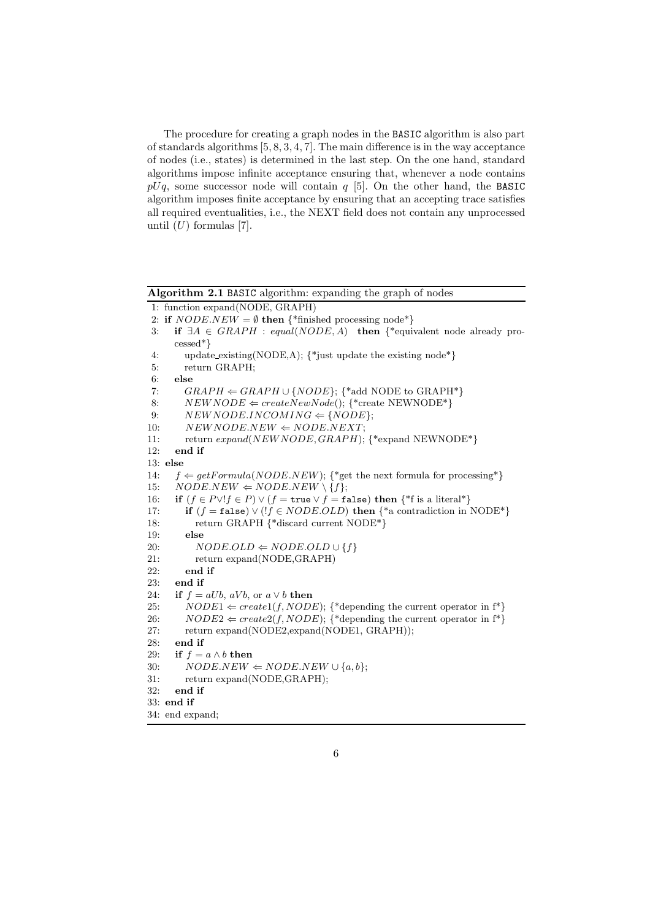The procedure for creating a graph nodes in the BASIC algorithm is also part of standards algorithms [5, 8, 3, 4, 7]. The main difference is in the way acceptance of nodes (i.e., states) is determined in the last step. On the one hand, standard algorithms impose infinite acceptance ensuring that, whenever a node contains  $pUq$ , some successor node will contain q [5]. On the other hand, the BASIC algorithm imposes finite acceptance by ensuring that an accepting trace satisfies all required eventualities, i.e., the NEXT field does not contain any unprocessed until  $(U)$  formulas [7].

Algorithm 2.1 BASIC algorithm: expanding the graph of nodes

```
1: function expand(NODE, GRAPH)
```
- 2: if  $NODE.NEW = \emptyset$  then {\*finished processing node\*}
- 3: if  $\exists A \in \text{GRAPH} : \text{equal}(NODE, A)$  then {\*equivalent node already processed\*}
- 4: update existing(NODE,A); {\*just update the existing node\*} 5: return GRAPH;
- 

```
6: else
```

```
7: GRAPH \Leftarrow GRAPH ∪ {NODE}; {*add NODE to GRAPH*}
```
- 8:  $NEWNODE \Leftarrow createNewNode();$  {\*create NEWNODE\*}
- 9:  $NEWNODE. INCOMMING \Leftarrow \{NODE\};$
- 10:  $NEWNODE.NEW \Leftarrow NODE. NEXT;$
- 11: return expand(NEWNODE,GRAPH); {\*expand NEWNODE\*}
- 12: end if

```
13: else
```

```
14: f \leftarrow getFormula(NODE.NEW); {*get the next formula for processing*}
```

```
15: NODE.NEW \Leftarrow NODE.NEW \setminus \{f\};
```

```
16: if (f \in P \lor f \in P) \lor (f = \text{true} \lor f = \text{false}) then \{\text{``f is a literal''}\}
```

```
17: if (f = false) \vee (!f \in NODE.OLD) then \{\ast a contradiction in NODE*}
18: return GRAPH {*discard current NODE*}
```

```
19: else<br>
20: N
```

```
NODE.OLD \Leftarrow NODE.OLD \cup \{f\}
```
- 21: return expand(NODE,GRAPH)
- 22: end if
- 23: end if

24: if  $f = aUb, aVb,$  or  $a \vee b$  then

- 25:  $NODE1 \Leftarrow create1(f, NODE);$  {\*depending the current operator in f\*}
- 26:  $NODE2 \Leftarrow create2(f, NODE);$  {\*depending the current operator in f\*}
- 27: return expand(NODE2,expand(NODE1, GRAPH));
- 28: end if
- 29: if  $f = a \wedge b$  then

```
30: NODE.NEW \Leftarrow NODE.NEW \cup \{a, b\};
```
- 31: return expand(NODE,GRAPH);
- 32: end if
- 33: end if

```
34: end expand;
```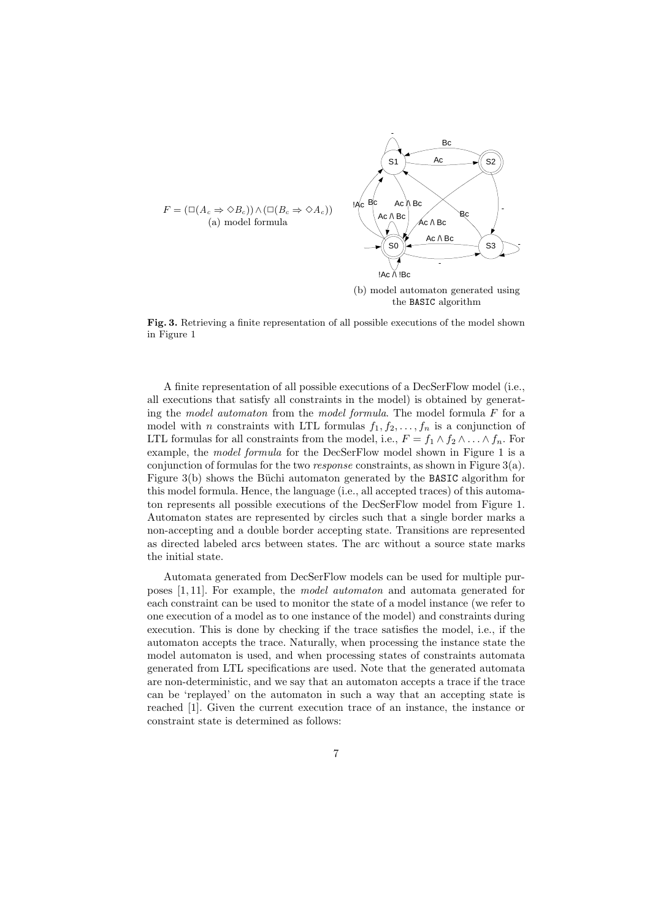

Fig. 3. Retrieving a finite representation of all possible executions of the model shown in Figure 1

A finite representation of all possible executions of a DecSerFlow model (i.e., all executions that satisfy all constraints in the model) is obtained by generating the model automaton from the model formula. The model formula  $F$  for a model with n constraints with LTL formulas  $f_1, f_2, \ldots, f_n$  is a conjunction of LTL formulas for all constraints from the model, i.e.,  $F = f_1 \wedge f_2 \wedge \ldots \wedge f_n$ . For example, the model formula for the DecSerFlow model shown in Figure 1 is a conjunction of formulas for the two *response* constraints, as shown in Figure  $3(a)$ . Figure  $3(b)$  shows the Büchi automaton generated by the BASIC algorithm for this model formula. Hence, the language (i.e., all accepted traces) of this automaton represents all possible executions of the DecSerFlow model from Figure 1. Automaton states are represented by circles such that a single border marks a non-accepting and a double border accepting state. Transitions are represented as directed labeled arcs between states. The arc without a source state marks the initial state.

Automata generated from DecSerFlow models can be used for multiple purposes [1, 11]. For example, the model automaton and automata generated for each constraint can be used to monitor the state of a model instance (we refer to one execution of a model as to one instance of the model) and constraints during execution. This is done by checking if the trace satisfies the model, i.e., if the automaton accepts the trace. Naturally, when processing the instance state the model automaton is used, and when processing states of constraints automata generated from LTL specifications are used. Note that the generated automata are non-deterministic, and we say that an automaton accepts a trace if the trace can be 'replayed' on the automaton in such a way that an accepting state is reached [1]. Given the current execution trace of an instance, the instance or constraint state is determined as follows: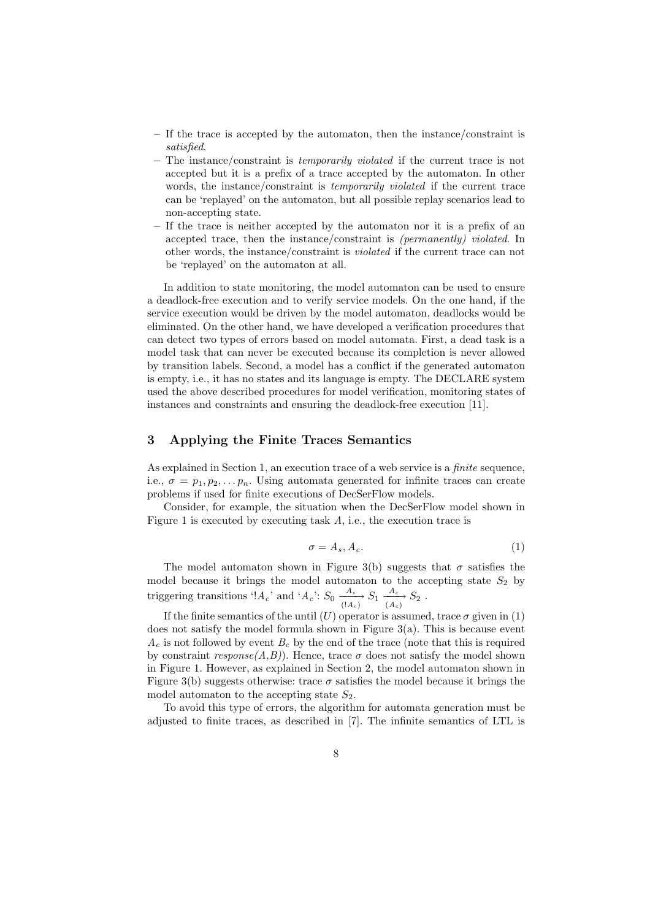- If the trace is accepted by the automaton, then the instance/constraint is satisfied.
- The instance/constraint is temporarily violated if the current trace is not accepted but it is a prefix of a trace accepted by the automaton. In other words, the instance/constraint is *temporarily violated* if the current trace can be 'replayed' on the automaton, but all possible replay scenarios lead to non-accepting state.
- If the trace is neither accepted by the automaton nor it is a prefix of an accepted trace, then the instance/constraint is (permanently) violated. In other words, the instance/constraint is violated if the current trace can not be 'replayed' on the automaton at all.

In addition to state monitoring, the model automaton can be used to ensure a deadlock-free execution and to verify service models. On the one hand, if the service execution would be driven by the model automaton, deadlocks would be eliminated. On the other hand, we have developed a verification procedures that can detect two types of errors based on model automata. First, a dead task is a model task that can never be executed because its completion is never allowed by transition labels. Second, a model has a conflict if the generated automaton is empty, i.e., it has no states and its language is empty. The DECLARE system used the above described procedures for model verification, monitoring states of instances and constraints and ensuring the deadlock-free execution [11].

# 3 Applying the Finite Traces Semantics

As explained in Section 1, an execution trace of a web service is a finite sequence, i.e.,  $\sigma = p_1, p_2, \ldots, p_n$ . Using automata generated for infinite traces can create problems if used for finite executions of DecSerFlow models.

Consider, for example, the situation when the DecSerFlow model shown in Figure 1 is executed by executing task  $A$ , i.e., the execution trace is

$$
\sigma = A_s, A_c. \tag{1}
$$

The model automaton shown in Figure 3(b) suggests that  $\sigma$  satisfies the model because it brings the model automaton to the accepting state  $S_2$  by triggering transitions '! $A_c$ ' and ' $A_c$ ':  $S_0 \xrightarrow[ (A_c) ]{A_c \choose (A_c)} S_1 \xrightarrow[ (A_c) ]{A_c} S_2$ .

If the finite semantics of the until  $(U)$  operator is assumed, trace  $\sigma$  given in (1) does not satisfy the model formula shown in Figure 3(a). This is because event  $A_c$  is not followed by event  $B_c$  by the end of the trace (note that this is required by constraint  $response(A,B)$ . Hence, trace  $\sigma$  does not satisfy the model shown in Figure 1. However, as explained in Section 2, the model automaton shown in Figure 3(b) suggests otherwise: trace  $\sigma$  satisfies the model because it brings the model automaton to the accepting state  $S_2$ .

To avoid this type of errors, the algorithm for automata generation must be adjusted to finite traces, as described in [7]. The infinite semantics of LTL is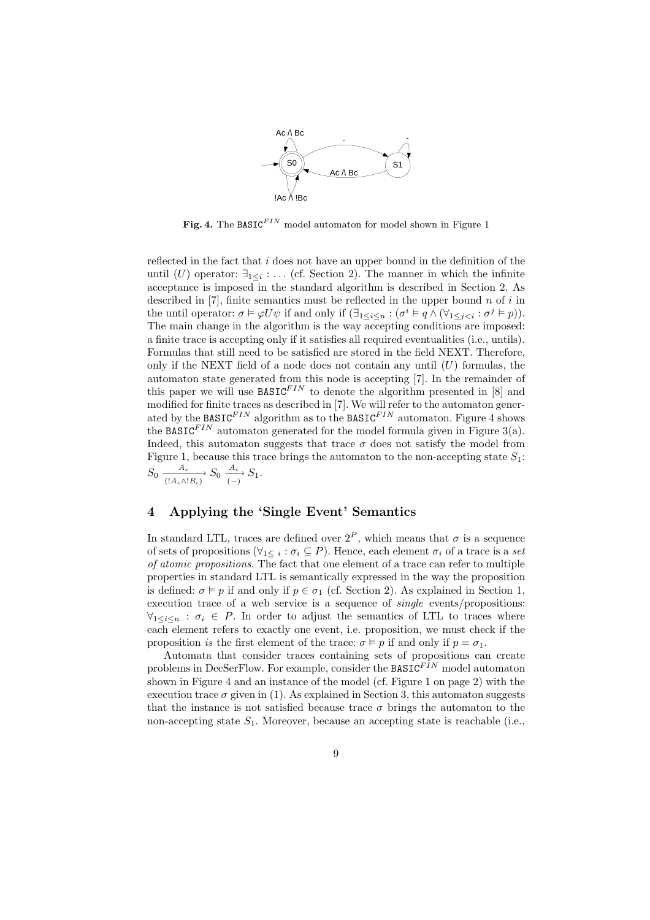

Fig. 4. The BASIC<sup>FIN</sup> model automaton for model shown in Figure 1

reflected in the fact that  $i$  does not have an upper bound in the definition of the until (U) operator:  $\exists_{1\leq i}$ :... (cf. Section 2). The manner in which the infinite acceptance is imposed in the standard algorithm is described in Section 2. As described in  $[7]$ , finite semantics must be reflected in the upper bound n of i in the until operator:  $\sigma \models \varphi U \psi$  if and only if  $(\exists_{1 \leq i \leq n} : (\sigma^i \models q \land (\forall_{1 \leq j < i} : \sigma^j \models p)).$ The main change in the algorithm is the way accepting conditions are imposed: a finite trace is accepting only if it satisfies all required eventualities (i.e., untils). Formulas that still need to be satisfied are stored in the field NEXT. Therefore, only if the NEXT field of a node does not contain any until  $(U)$  formulas, the automaton state generated from this node is accepting [7]. In the remainder of this paper we will use  $BASIC<sup>FIN</sup>$  to denote the algorithm presented in [8] and modified for finite traces as described in [7]. We will refer to the automaton generated by the BASIC $^{FIN}$  algorithm as to the BASIC $^{FIN}$  automaton. Figure 4 shows the BASIC<sup>FIN</sup> automaton generated for the model formula given in Figure 3(a). Indeed, this automaton suggests that trace  $\sigma$  does not satisfy the model from Figure 1, because this trace brings the automaton to the non-accepting state  $S_1$ :  $S_0 \xrightarrow[(A_c \wedge B_c)]{A_s} S_0 \xrightarrow[(-)} S_1.$ 

# 4 Applying the 'Single Event' Semantics

In standard LTL, traces are defined over  $2^P$ , which means that  $\sigma$  is a sequence of sets of propositions ( $\forall_{1 \leq i} : \sigma_i \subseteq P$ ). Hence, each element  $\sigma_i$  of a trace is a set of atomic propositions. The fact that one element of a trace can refer to multiple properties in standard LTL is semantically expressed in the way the proposition is defined:  $\sigma \models p$  if and only if  $p \in \sigma_1$  (cf. Section 2). As explained in Section 1, execution trace of a web service is a sequence of *single* events/propositions:  $\forall_{1\leq i\leq n}:\sigma_i\in P.$  In order to adjust the semantics of LTL to traces where each element refers to exactly one event, i.e. proposition, we must check if the proposition is the first element of the trace:  $\sigma \models p$  if and only if  $p = \sigma_1$ .

Automata that consider traces containing sets of propositions can create problems in DecSerFlow. For example, consider the  $BASIC<sup>FIN</sup>$  model automaton shown in Figure 4 and an instance of the model (cf. Figure 1 on page 2) with the execution trace  $\sigma$  given in (1). As explained in Section 3, this automaton suggests that the instance is not satisfied because trace  $\sigma$  brings the automaton to the non-accepting state  $S_1$ . Moreover, because an accepting state is reachable (i.e.,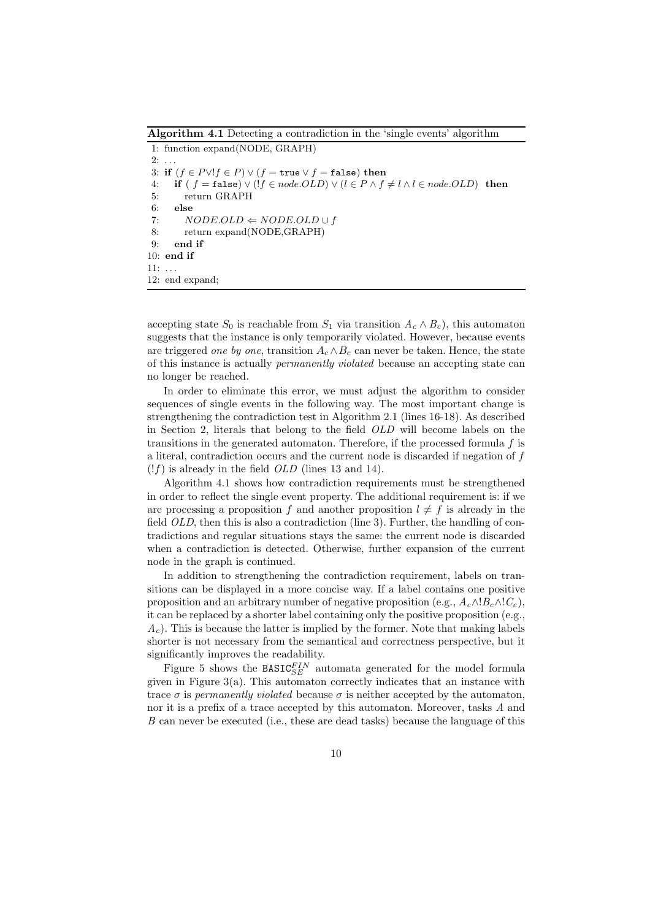Algorithm 4.1 Detecting a contradiction in the 'single events' algorithm 1: function expand(NODE, GRAPH)  $2: \ldots$ 3: if  $(f \in P \lor ! f \in P) \lor (f = \text{true} \lor f = \text{false})$  then 4: if  $(f = false) \vee (!f \in node.OLD) \vee (l \in P \wedge f \neq l \wedge l \in node.OLD)$  then 5: return GRAPH 6: else 7:  $NODE.OLD \Leftarrow NODE.OLD \cup f$ 8: return expand(NODE,GRAPH) 9: end if 10: end if 11: . . . 12: end expand;

accepting state  $S_0$  is reachable from  $S_1$  via transition  $A_c \wedge B_c$ , this automaton suggests that the instance is only temporarily violated. However, because events are triggered one by one, transition  $A_c \wedge B_c$  can never be taken. Hence, the state of this instance is actually permanently violated because an accepting state can no longer be reached.

In order to eliminate this error, we must adjust the algorithm to consider sequences of single events in the following way. The most important change is strengthening the contradiction test in Algorithm 2.1 (lines 16-18). As described in Section 2, literals that belong to the field OLD will become labels on the transitions in the generated automaton. Therefore, if the processed formula  $f$  is a literal, contradiction occurs and the current node is discarded if negation of f  $(lf)$  is already in the field *OLD* (lines 13 and 14).

Algorithm 4.1 shows how contradiction requirements must be strengthened in order to reflect the single event property. The additional requirement is: if we are processing a proposition f and another proposition  $l \neq f$  is already in the field *OLD*, then this is also a contradiction (line 3). Further, the handling of contradictions and regular situations stays the same: the current node is discarded when a contradiction is detected. Otherwise, further expansion of the current node in the graph is continued.

In addition to strengthening the contradiction requirement, labels on transitions can be displayed in a more concise way. If a label contains one positive proposition and an arbitrary number of negative proposition (e.g.,  $A_c \wedge B_c \wedge C_c$ ), it can be replaced by a shorter label containing only the positive proposition (e.g.,  $A<sub>c</sub>$ ). This is because the latter is implied by the former. Note that making labels shorter is not necessary from the semantical and correctness perspective, but it significantly improves the readability.

Figure 5 shows the  $\texttt{BASIC}_{SE}^{FIN}$  automata generated for the model formula given in Figure  $3(a)$ . This automaton correctly indicates that an instance with trace  $\sigma$  is permanently violated because  $\sigma$  is neither accepted by the automaton, nor it is a prefix of a trace accepted by this automaton. Moreover, tasks A and B can never be executed (i.e., these are dead tasks) because the language of this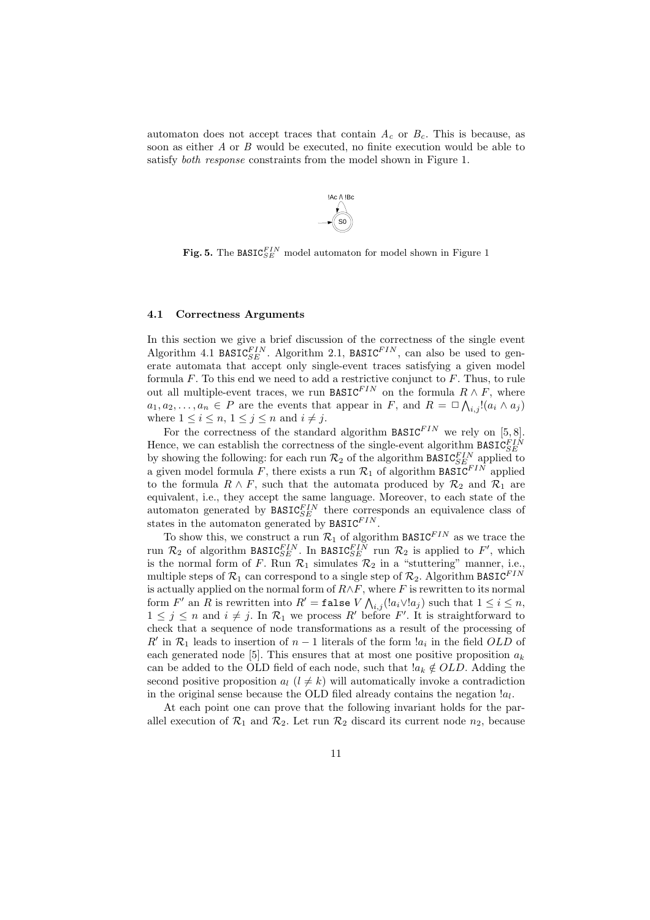automaton does not accept traces that contain  $A_c$  or  $B_c$ . This is because, as soon as either  $A$  or  $B$  would be executed, no finite execution would be able to satisfy *both response* constraints from the model shown in Figure 1.



Fig. 5. The BASIC $_{SE}^{FIN}$  model automaton for model shown in Figure 1

#### 4.1 Correctness Arguments

In this section we give a brief discussion of the correctness of the single event Algorithm 4.1 BASIC $_{SE}^{FIN}$ . Algorithm 2.1, BASIC $^{FIN}$ , can also be used to generate automata that accept only single-event traces satisfying a given model formula  $F$ . To this end we need to add a restrictive conjunct to  $F$ . Thus, to rule out all multiple-event traces, we run BASIC<sup>FIN</sup> on the formula  $R \wedge F$ , where  $a_1, a_2, \ldots, a_n \in P$  are the events that appear in F, and  $R = \Box \bigwedge_{i,j} [(a_i \wedge a_j)]$ where  $1 \leq i \leq n, 1 \leq j \leq n$  and  $i \neq j$ .

For the correctness of the standard algorithm  $\texttt{BASIC}^{FIN}$  we rely on [5,8]. Hence, we can establish the correctness of the single-event algorithm  $\texttt{BASIC}_{SE}^{FIN}$ by showing the following: for each run  $\mathcal{R}_2$  of the algorithm BASIC<sub>SE</sub> applied to a given model formula  $\tilde{F}$ , there exists a run  $\mathcal{R}_1$  of algorithm BASIC<sup>FIN</sup> applied to the formula  $R \wedge F$ , such that the automata produced by  $\mathcal{R}_2$  and  $\mathcal{R}_1$  are equivalent, i.e., they accept the same language. Moreover, to each state of the automaton generated by  $\texttt{BASIC}_{SE}^{FIN}$  there corresponds an equivalence class of states in the automaton generated by  $\widetilde{\texttt{BASIC}}^{FIN}.$ 

To show this, we construct a run  $\mathcal{R}_1$  of algorithm BASIC<sup>FIN</sup> as we trace the run  $\mathcal{R}_2$  of algorithm BASIC<sup>FIN</sup>. In BASIC<sup>FIN</sup> run  $\mathcal{R}_2$  is applied to F', which is the normal form of F. Run  $\mathcal{R}_1$  simulates  $\mathcal{R}_2$  in a "stuttering" manner, i.e., multiple steps of  $\mathcal{R}_1$  can correspond to a single step of  $\mathcal{R}_2$ . Algorithm BASIC<sup>FIN</sup> is actually applied on the normal form of  $R \wedge F$ , where F is rewritten to its normal form  $F'$  an  $R$  is rewritten into  $R' = \mathtt{false} \ V \bigwedge_{i,j} (\mathcal{a}_i \vee \mathcal{a}_j)$  such that  $1 \leq i \leq n$ ,  $1 \leq j \leq n$  and  $i \neq j$ . In  $\mathcal{R}_1$  we process R' before F'. It is straightforward to check that a sequence of node transformations as a result of the processing of  $R'$  in  $\mathcal{R}_1$  leads to insertion of  $n-1$  literals of the form  $a_i$  in the field  $OLD$  of each generated node [5]. This ensures that at most one positive proposition  $a_k$ can be added to the OLD field of each node, such that  $a_k \notin OLD$ . Adding the second positive proposition  $a_l$   $(l \neq k)$  will automatically invoke a contradiction in the original sense because the OLD filed already contains the negation  $a_l$ .

At each point one can prove that the following invariant holds for the parallel execution of  $\mathcal{R}_1$  and  $\mathcal{R}_2$ . Let run  $\mathcal{R}_2$  discard its current node  $n_2$ , because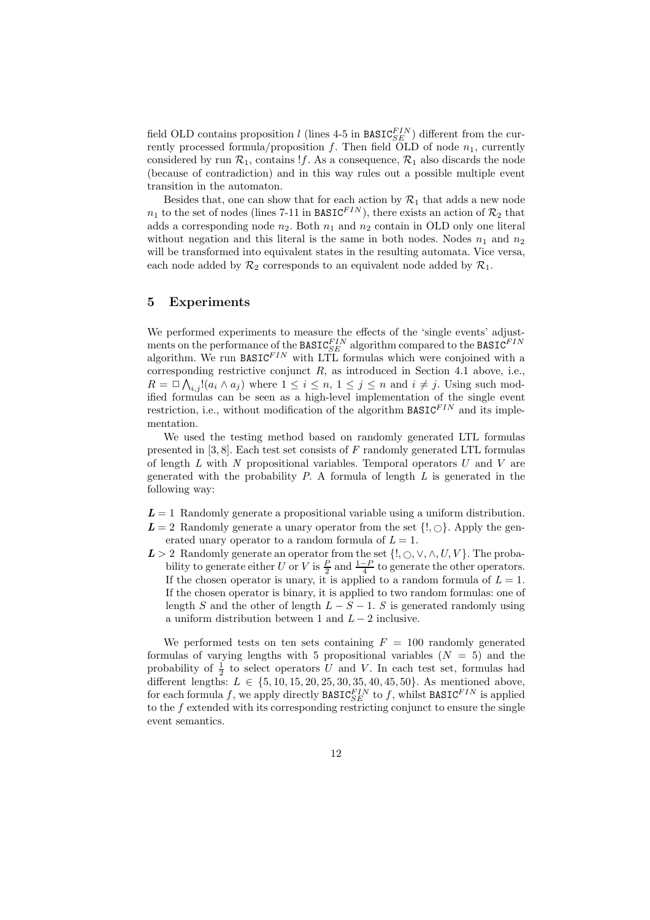field OLD contains proposition  $l$  (lines 4-5 in BASIC<sup>FIN</sup>) different from the currently processed formula/proposition f. Then field OLD of node  $n_1$ , currently considered by run  $\mathcal{R}_1$ , contains !f. As a consequence,  $\mathcal{R}_1$  also discards the node (because of contradiction) and in this way rules out a possible multiple event transition in the automaton.

Besides that, one can show that for each action by  $\mathcal{R}_1$  that adds a new node  $n_1$  to the set of nodes (lines 7-11 in BASIC<sup>FIN</sup>), there exists an action of  $\mathcal{R}_2$  that adds a corresponding node  $n_2$ . Both  $n_1$  and  $n_2$  contain in OLD only one literal without negation and this literal is the same in both nodes. Nodes  $n_1$  and  $n_2$ will be transformed into equivalent states in the resulting automata. Vice versa, each node added by  $\mathcal{R}_2$  corresponds to an equivalent node added by  $\mathcal{R}_1$ .

### 5 Experiments

We performed experiments to measure the effects of the 'single events' adjustments on the performance of the BASIC $_{SE}^{FIN}$  algorithm compared to the BASIC $^{FIN}$ algorithm. We run BASIC $^{FIN}$  with LTL formulas which were conjoined with a corresponding restrictive conjunct  $R$ , as introduced in Section 4.1 above, i.e.,  $R = \Box \bigwedge_{i,j} [(a_i \wedge a_j)$  where  $1 \leq i \leq n, 1 \leq j \leq n$  and  $i \neq j$ . Using such modified formulas can be seen as a high-level implementation of the single event restriction, i.e., without modification of the algorithm  $\texttt{BASIC}^{FIN}$  and its implementation.

We used the testing method based on randomly generated LTL formulas presented in  $[3, 8]$ . Each test set consists of F randomly generated LTL formulas of length  $L$  with  $N$  propositional variables. Temporal operators  $U$  and  $V$  are generated with the probability  $P$ . A formula of length  $L$  is generated in the following way:

- $L = 1$  Randomly generate a propositional variable using a uniform distribution.
- $L = 2$  Randomly generate a unary operator from the set  $\{!, \bigcirc\}$ . Apply the generated unary operator to a random formula of  $L = 1$ .
- L > 2 Randomly generate an operator from the set  $\{!, \circ, \vee, \wedge, U, V\}$ . The probability to generate either U or V is  $\frac{P}{2}$  and  $\frac{1-P}{4}$  to generate the other operators. If the chosen operator is unary, it is applied to a random formula of  $L = 1$ . If the chosen operator is binary, it is applied to two random formulas: one of length S and the other of length  $L - S - 1$ . S is generated randomly using a uniform distribution between 1 and  $L - 2$  inclusive.

We performed tests on ten sets containing  $F = 100$  randomly generated formulas of varying lengths with 5 propositional variables  $(N = 5)$  and the probability of  $\frac{1}{2}$  to select operators U and V. In each test set, formulas had different lengths:  $L \in \{5, 10, 15, 20, 25, 30, 35, 40, 45, 50\}$ . As mentioned above, for each formula f, we apply directly  $\texttt{BASIC}_{SE}^{FIN}$  to f, whilst  $\texttt{BASIC}^{FIN}$  is applied to the f extended with its corresponding restricting conjunct to ensure the single event semantics.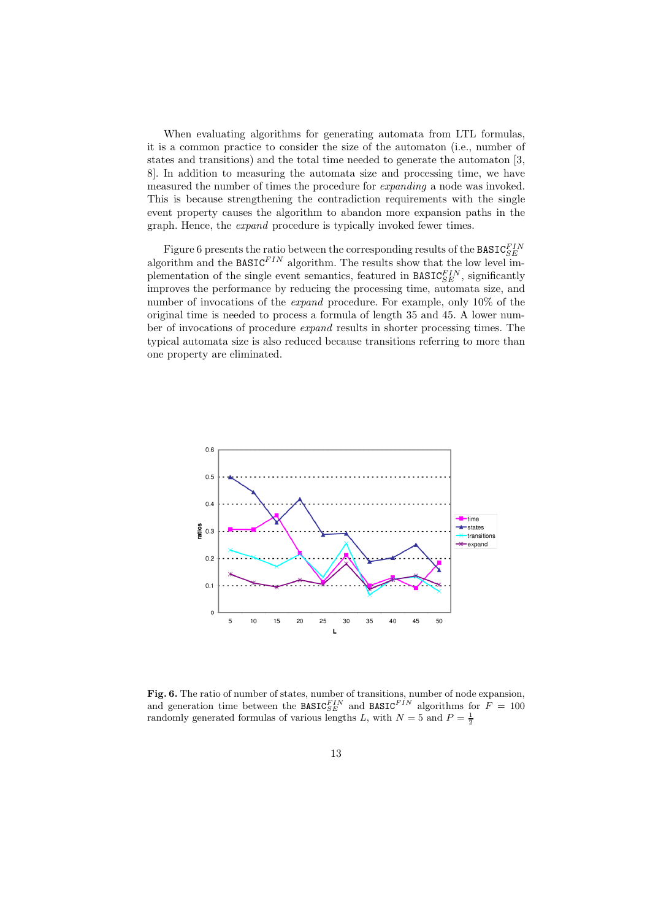When evaluating algorithms for generating automata from LTL formulas, it is a common practice to consider the size of the automaton (i.e., number of states and transitions) and the total time needed to generate the automaton [3, 8]. In addition to measuring the automata size and processing time, we have measured the number of times the procedure for expanding a node was invoked. This is because strengthening the contradiction requirements with the single event property causes the algorithm to abandon more expansion paths in the graph. Hence, the *expand* procedure is typically invoked fewer times.

Figure 6 presents the ratio between the corresponding results of the BASIC $_{SE}^{FIN}$ algorithm and the BASIC $^{FIN}$  algorithm. The results show that the low level implementation of the single event semantics, featured in  $\texttt{BASIC}_{SE}^{FIN}$ , significantly improves the performance by reducing the processing time, automata size, and number of invocations of the *expand* procedure. For example, only 10% of the original time is needed to process a formula of length 35 and 45. A lower number of invocations of procedure expand results in shorter processing times. The typical automata size is also reduced because transitions referring to more than one property are eliminated.



Fig. 6. The ratio of number of states, number of transitions, number of node expansion, and generation time between the BASIC<sup>FIN</sup> and BASIC<sup>FIN</sup> algorithms for  $F = 100$ randomly generated formulas of various lengths L, with  $N=5$  and  $P=\frac{1}{2}$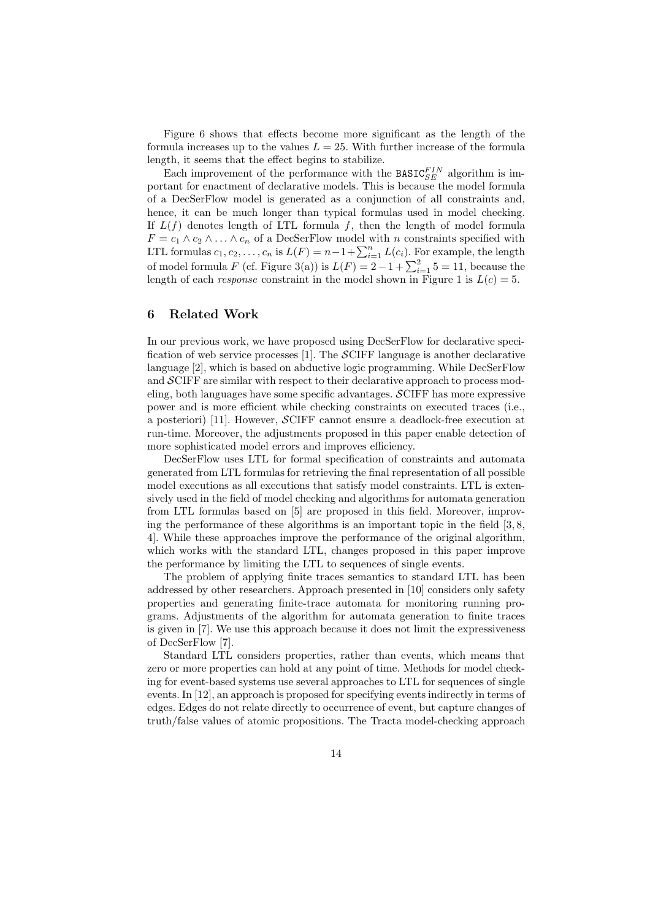Figure 6 shows that effects become more significant as the length of the formula increases up to the values  $L = 25$ . With further increase of the formula length, it seems that the effect begins to stabilize.

Each improvement of the performance with the  $\texttt{BASIC}_{SE}^{FIN}$  algorithm is important for enactment of declarative models. This is because the model formula of a DecSerFlow model is generated as a conjunction of all constraints and, hence, it can be much longer than typical formulas used in model checking. If  $L(f)$  denotes length of LTL formula f, then the length of model formula  $F = c_1 \wedge c_2 \wedge \ldots \wedge c_n$  of a DecSerFlow model with n constraints specified with LTL formulas  $c_1, c_2, \ldots, c_n$  is  $L(F) = n - 1 + \sum_{i=1}^n L(c_i)$ . For example, the length of model formula F (cf. Figure 3(a)) is  $L(F) = 2 - 1 + \sum_{i=1}^{2} 5 = 11$ , because the length of each *response* constraint in the model shown in Figure 1 is  $L(c) = 5$ .

### 6 Related Work

In our previous work, we have proposed using DecSerFlow for declarative specification of web service processes [1]. The  $\mathcal{S}$ CIFF language is another declarative language [2], which is based on abductive logic programming. While DecSerFlow and SCIFF are similar with respect to their declarative approach to process modeling, both languages have some specific advantages. SCIFF has more expressive power and is more efficient while checking constraints on executed traces (i.e., a posteriori) [11]. However, SCIFF cannot ensure a deadlock-free execution at run-time. Moreover, the adjustments proposed in this paper enable detection of more sophisticated model errors and improves efficiency.

DecSerFlow uses LTL for formal specification of constraints and automata generated from LTL formulas for retrieving the final representation of all possible model executions as all executions that satisfy model constraints. LTL is extensively used in the field of model checking and algorithms for automata generation from LTL formulas based on [5] are proposed in this field. Moreover, improving the performance of these algorithms is an important topic in the field [3, 8, 4]. While these approaches improve the performance of the original algorithm, which works with the standard LTL, changes proposed in this paper improve the performance by limiting the LTL to sequences of single events.

The problem of applying finite traces semantics to standard LTL has been addressed by other researchers. Approach presented in [10] considers only safety properties and generating finite-trace automata for monitoring running programs. Adjustments of the algorithm for automata generation to finite traces is given in [7]. We use this approach because it does not limit the expressiveness of DecSerFlow [7].

Standard LTL considers properties, rather than events, which means that zero or more properties can hold at any point of time. Methods for model checking for event-based systems use several approaches to LTL for sequences of single events. In [12], an approach is proposed for specifying events indirectly in terms of edges. Edges do not relate directly to occurrence of event, but capture changes of truth/false values of atomic propositions. The Tracta model-checking approach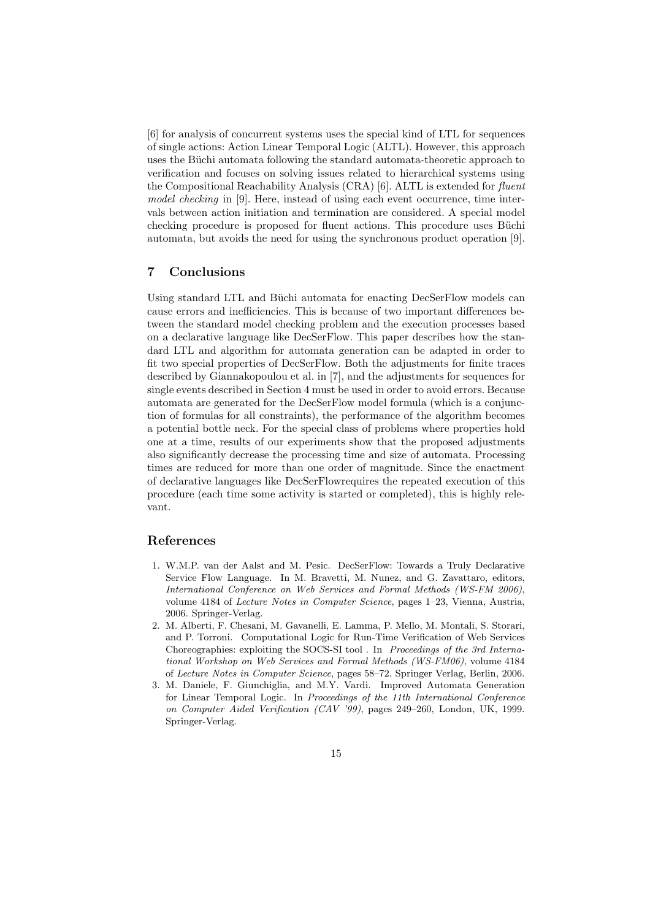[6] for analysis of concurrent systems uses the special kind of LTL for sequences of single actions: Action Linear Temporal Logic (ALTL). However, this approach uses the Büchi automata following the standard automata-theoretic approach to verification and focuses on solving issues related to hierarchical systems using the Compositional Reachability Analysis  $(CRA)$  [6]. ALTL is extended for fluent model checking in [9]. Here, instead of using each event occurrence, time intervals between action initiation and termination are considered. A special model checking procedure is proposed for fluent actions. This procedure uses Büchi automata, but avoids the need for using the synchronous product operation [9].

### 7 Conclusions

Using standard LTL and Büchi automata for enacting DecSerFlow models can cause errors and inefficiencies. This is because of two important differences between the standard model checking problem and the execution processes based on a declarative language like DecSerFlow. This paper describes how the standard LTL and algorithm for automata generation can be adapted in order to fit two special properties of DecSerFlow. Both the adjustments for finite traces described by Giannakopoulou et al. in [7], and the adjustments for sequences for single events described in Section 4 must be used in order to avoid errors. Because automata are generated for the DecSerFlow model formula (which is a conjunction of formulas for all constraints), the performance of the algorithm becomes a potential bottle neck. For the special class of problems where properties hold one at a time, results of our experiments show that the proposed adjustments also significantly decrease the processing time and size of automata. Processing times are reduced for more than one order of magnitude. Since the enactment of declarative languages like DecSerFlowrequires the repeated execution of this procedure (each time some activity is started or completed), this is highly relevant.

### References

- 1. W.M.P. van der Aalst and M. Pesic. DecSerFlow: Towards a Truly Declarative Service Flow Language. In M. Bravetti, M. Nunez, and G. Zavattaro, editors, International Conference on Web Services and Formal Methods (WS-FM 2006), volume 4184 of Lecture Notes in Computer Science, pages 1–23, Vienna, Austria, 2006. Springer-Verlag.
- 2. M. Alberti, F. Chesani, M. Gavanelli, E. Lamma, P. Mello, M. Montali, S. Storari, and P. Torroni. Computational Logic for Run-Time Verification of Web Services Choreographies: exploiting the SOCS-SI tool . In Proceedings of the 3rd International Workshop on Web Services and Formal Methods (WS-FM06), volume 4184 of Lecture Notes in Computer Science, pages 58–72. Springer Verlag, Berlin, 2006.
- 3. M. Daniele, F. Giunchiglia, and M.Y. Vardi. Improved Automata Generation for Linear Temporal Logic. In Proceedings of the 11th International Conference on Computer Aided Verification (CAV '99), pages 249–260, London, UK, 1999. Springer-Verlag.